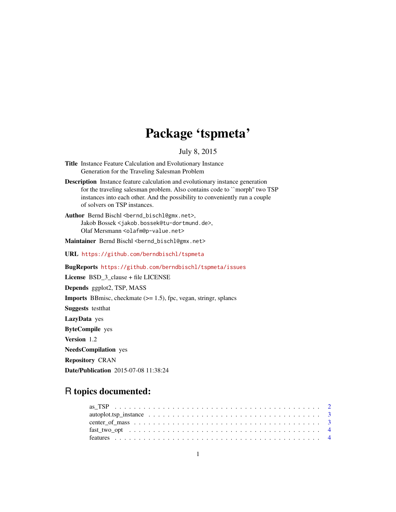# Package 'tspmeta'

# July 8, 2015

- <span id="page-0-0"></span>Title Instance Feature Calculation and Evolutionary Instance Generation for the Traveling Salesman Problem
- Description Instance feature calculation and evolutionary instance generation for the traveling salesman problem. Also contains code to ``morph'' two TSP instances into each other. And the possibility to conveniently run a couple of solvers on TSP instances.
- Author Bernd Bischl <br/>bernd\_bischl@gmx.net>, Jakob Bossek <jakob.bossek@tu-dortmund.de>, Olaf Mersmann <olafm@p-value.net>

Maintainer Bernd Bischl <br/>bernd\_bischl@gmx.net>

URL <https://github.com/berndbischl/tspmeta>

BugReports <https://github.com/berndbischl/tspmeta/issues>

License BSD\_3\_clause + file LICENSE

Depends ggplot2, TSP, MASS

**Imports** BBmisc, checkmate  $(>= 1.5)$ , fpc, vegan, stringr, splancs

Suggests testthat

LazyData yes

ByteCompile yes

Version 1.2

NeedsCompilation yes

Repository CRAN

Date/Publication 2015-07-08 11:38:24

# R topics documented: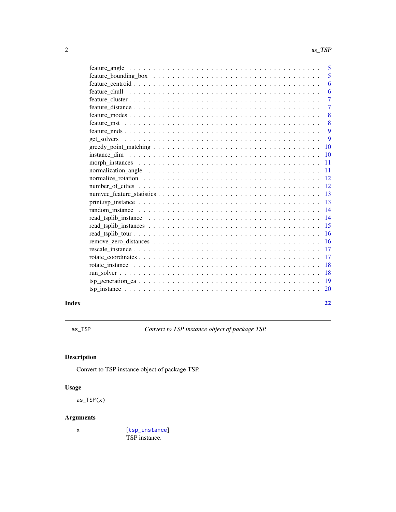<span id="page-1-0"></span>

|       |                                                                                                                 | $\overline{5}$  |
|-------|-----------------------------------------------------------------------------------------------------------------|-----------------|
|       | $feature_bounding_box \dots \dots \dots \dots \dots \dots \dots \dots \dots \dots \dots \dots \dots \dots$      | 5               |
|       |                                                                                                                 | 6               |
|       |                                                                                                                 | 6               |
|       |                                                                                                                 | $\overline{7}$  |
|       |                                                                                                                 | $\overline{7}$  |
|       |                                                                                                                 | 8               |
|       |                                                                                                                 | 8               |
|       |                                                                                                                 | 9               |
|       |                                                                                                                 | $\overline{9}$  |
|       |                                                                                                                 |                 |
|       |                                                                                                                 | $\overline{10}$ |
|       |                                                                                                                 | -11             |
|       | normalization_angle $\dots \dots \dots \dots \dots \dots \dots \dots \dots \dots \dots \dots \dots \dots \dots$ | $\overline{11}$ |
|       | normalize rotation $\ldots \ldots \ldots \ldots \ldots \ldots \ldots \ldots \ldots \ldots \ldots \ldots$        |                 |
|       |                                                                                                                 |                 |
|       |                                                                                                                 |                 |
|       |                                                                                                                 |                 |
|       |                                                                                                                 |                 |
|       |                                                                                                                 |                 |
|       |                                                                                                                 | -15             |
|       |                                                                                                                 | <sup>16</sup>   |
|       |                                                                                                                 |                 |
|       |                                                                                                                 | <sup>17</sup>   |
|       |                                                                                                                 |                 |
|       |                                                                                                                 | <b>18</b>       |
|       |                                                                                                                 | 18              |
|       |                                                                                                                 |                 |
|       |                                                                                                                 |                 |
| Index |                                                                                                                 | 22              |
|       |                                                                                                                 |                 |

as\_TSP *Convert to TSP instance object of package TSP.*

# Description

Convert to TSP instance object of package TSP.

# Usage

as\_TSP(x)

# Arguments

x [[tsp\\_instance](#page-19-1)] TSP instance.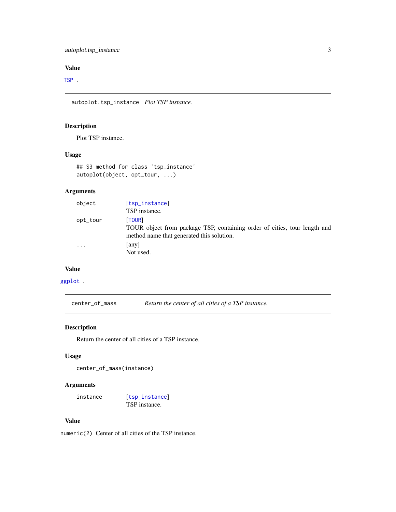# <span id="page-2-0"></span>[TSP](#page-0-0) .

autoplot.tsp\_instance *Plot TSP instance.*

# Description

Plot TSP instance.

# Usage

```
## S3 method for class 'tsp_instance'
autoplot(object, opt_tour, ...)
```
# Arguments

| object   | [tsp_instance]                                                                                                                   |
|----------|----------------------------------------------------------------------------------------------------------------------------------|
|          | TSP instance.                                                                                                                    |
| opt_tour | [TOUR]<br>TOUR object from package TSP, containing order of cities, tour length and<br>method name that generated this solution. |
| .        | any<br>Not used.                                                                                                                 |

#### Value

# [ggplot](#page-0-0) .

center\_of\_mass *Return the center of all cities of a TSP instance.*

# Description

Return the center of all cities of a TSP instance.

# Usage

```
center_of_mass(instance)
```
# Arguments

```
instance [tsp_instance]
              TSP instance.
```
#### Value

numeric(2) Center of all cities of the TSP instance.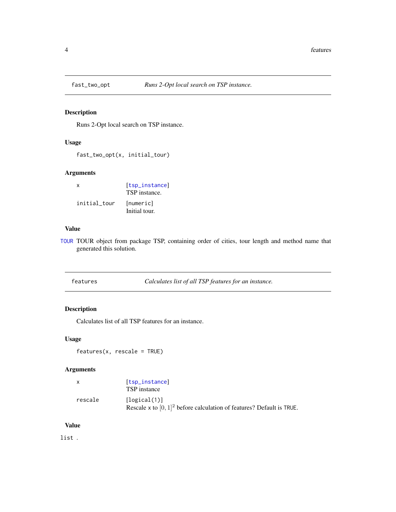<span id="page-3-0"></span>

Runs 2-Opt local search on TSP instance.

# Usage

fast\_two\_opt(x, initial\_tour)

# Arguments

| $\mathsf{x}$ | [tsp_instance]<br>TSP instance. |
|--------------|---------------------------------|
| initial tour | [numeric]<br>Initial tour.      |

#### Value

[TOUR](#page-0-0) TOUR object from package TSP, containing order of cities, tour length and method name that generated this solution.

| features | Calculates list of all TSP features for an instance. |
|----------|------------------------------------------------------|
|----------|------------------------------------------------------|

# Description

Calculates list of all TSP features for an instance.

#### Usage

```
features(x, rescale = TRUE)
```
# Arguments

| $\mathsf{x}$ | [tsp_instance]<br>TSP instance                                                           |
|--------------|------------------------------------------------------------------------------------------|
| rescale      | [logical(1)]<br>Rescale x to $[0, 1]^2$ before calculation of features? Default is TRUE. |

#### Value

list .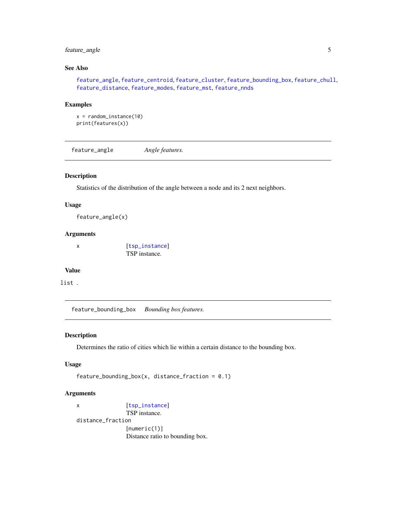# <span id="page-4-0"></span>feature\_angle 5

# See Also

[feature\\_angle](#page-4-1), [feature\\_centroid](#page-5-1), [feature\\_cluster](#page-6-1), [feature\\_bounding\\_box](#page-4-2), [feature\\_chull](#page-5-2), [feature\\_distance](#page-6-2), [feature\\_modes](#page-7-1), [feature\\_mst](#page-7-2), [feature\\_nnds](#page-8-1)

#### Examples

```
x = random_instance(10)
print(features(x))
```
<span id="page-4-1"></span>feature\_angle *Angle features.*

#### Description

Statistics of the distribution of the angle between a node and its 2 next neighbors.

#### Usage

```
feature_angle(x)
```
# Arguments

x [[tsp\\_instance](#page-19-1)] TSP instance.

# Value

list .

<span id="page-4-2"></span>feature\_bounding\_box *Bounding box features.*

#### Description

Determines the ratio of cities which lie within a certain distance to the bounding box.

#### Usage

```
feature_bounding_box(x, distance_fraction = 0.1)
```
# Arguments

```
x [tsp_instance]
              TSP instance.
distance_fraction
              [numeric(1)]
              Distance ratio to bounding box.
```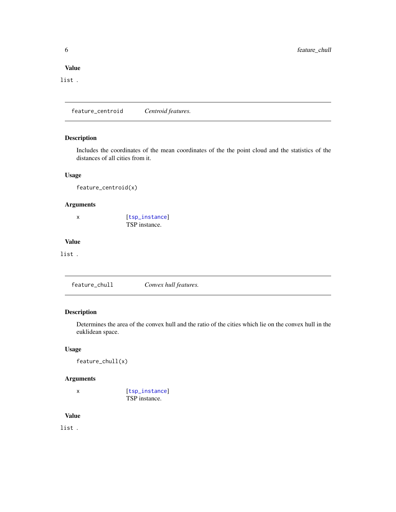<span id="page-5-0"></span>list .

<span id="page-5-1"></span>feature\_centroid *Centroid features.*

# Description

Includes the coordinates of the mean coordinates of the the point cloud and the statistics of the distances of all cities from it.

#### Usage

feature\_centroid(x)

# Arguments

x [[tsp\\_instance](#page-19-1)] TSP instance.

# Value

list .

<span id="page-5-2"></span>feature\_chull *Convex hull features.*

#### Description

Determines the area of the convex hull and the ratio of the cities which lie on the convex hull in the euklidean space.

# Usage

feature\_chull(x)

#### Arguments

x [[tsp\\_instance](#page-19-1)] TSP instance.

#### Value

list .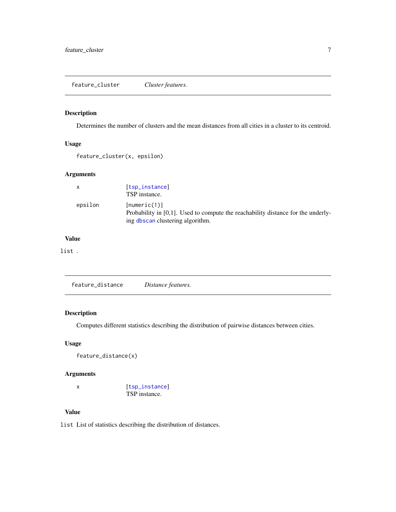<span id="page-6-1"></span><span id="page-6-0"></span>feature\_cluster *Cluster features.*

# Description

Determines the number of clusters and the mean distances from all cities in a cluster to its centroid.

# Usage

```
feature_cluster(x, epsilon)
```
# Arguments

| X       | [tsp_instance]<br>TSP instance.                                                                                                         |
|---------|-----------------------------------------------------------------------------------------------------------------------------------------|
| epsilon | [numeric(1)]<br>Probability in $[0,1]$ . Used to compute the reachability distance for the underly-<br>ing dbscan clustering algorithm. |

# Value

list .

<span id="page-6-2"></span>

|--|--|--|

# Description

Computes different statistics describing the distribution of pairwise distances between cities.

# Usage

feature\_distance(x)

#### Arguments

```
x [tsp_instance]
           TSP instance.
```
# Value

list List of statistics describing the distribution of distances.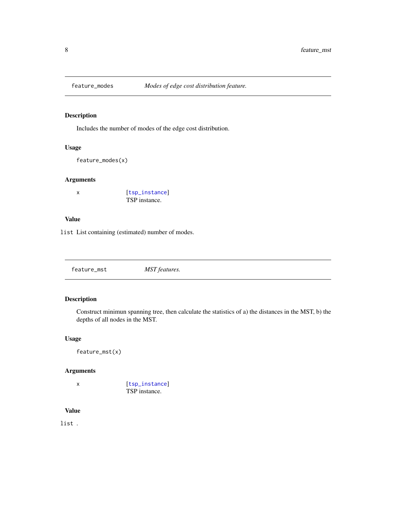<span id="page-7-1"></span><span id="page-7-0"></span>

Includes the number of modes of the edge cost distribution.

### Usage

feature\_modes(x)

# Arguments

| [tsp_instance] |
|----------------|
| TSP instance.  |

#### Value

list List containing (estimated) number of modes.

<span id="page-7-2"></span>

| feature_mst | MST features. |  |  |
|-------------|---------------|--|--|
|-------------|---------------|--|--|

# Description

Construct minimun spanning tree, then calculate the statistics of a) the distances in the MST, b) the depths of all nodes in the MST.

#### Usage

```
feature_mst(x)
```
# Arguments

x [[tsp\\_instance](#page-19-1)] TSP instance.

# Value

list .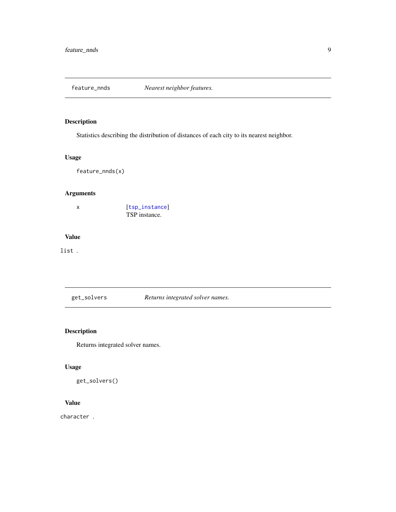<span id="page-8-1"></span><span id="page-8-0"></span>

Statistics describing the distribution of distances of each city to its nearest neighbor.

# Usage

feature\_nnds(x)

# Arguments

x [[tsp\\_instance](#page-19-1)] TSP instance.

# Value

# list .

get\_solvers *Returns integrated solver names.*

# Description

Returns integrated solver names.

# Usage

get\_solvers()

# Value

character .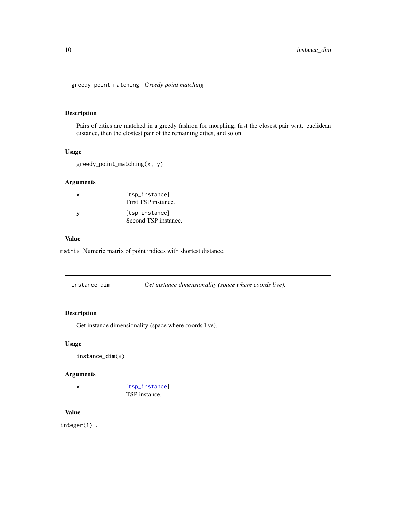<span id="page-9-1"></span><span id="page-9-0"></span>greedy\_point\_matching *Greedy point matching*

# Description

Pairs of cities are matched in a greedy fashion for morphing, first the closest pair w.r.t. euclidean distance, then the clostest pair of the remaining cities, and so on.

#### Usage

```
greedy_point_matching(x, y)
```
#### Arguments

| X        | [tsp_instance]<br>First TSP instance.  |
|----------|----------------------------------------|
| <b>V</b> | [tsp_instance]<br>Second TSP instance. |

# Value

matrix Numeric matrix of point indices with shortest distance.

| instance_dim | Get instance dimensionality (space where coords live). |  |
|--------------|--------------------------------------------------------|--|
|--------------|--------------------------------------------------------|--|

# Description

Get instance dimensionality (space where coords live).

# Usage

instance\_dim(x)

#### Arguments

x [[tsp\\_instance](#page-19-1)] TSP instance.

# Value

integer(1) .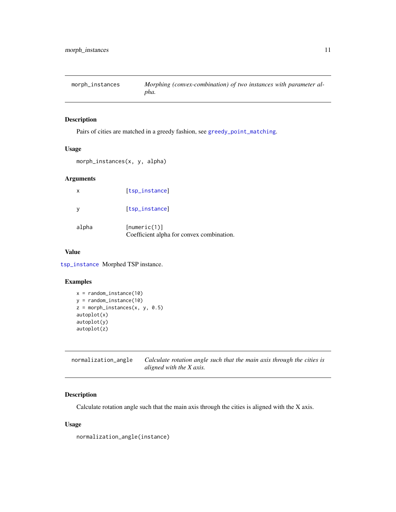<span id="page-10-0"></span>morph\_instances *Morphing (convex-combination) of two instances with parameter alpha.*

#### Description

Pairs of cities are matched in a greedy fashion, see [greedy\\_point\\_matching](#page-9-1).

# Usage

morph\_instances(x, y, alpha)

#### Arguments

| x     | [tsp_instance]                                            |
|-------|-----------------------------------------------------------|
|       | [tsp_instance]                                            |
| alpha | [numeric(1)]<br>Coefficient alpha for convex combination. |

#### Value

[tsp\\_instance](#page-19-1) Morphed TSP instance.

# Examples

```
x = random_instance(10)y = random_instance(10)
z = morph_instances(x, y, 0.5)autoplot(x)
autoplot(y)
autoplot(z)
```
<span id="page-10-1"></span>normalization\_angle *Calculate rotation angle such that the main axis through the cities is aligned with the X axis.*

# Description

Calculate rotation angle such that the main axis through the cities is aligned with the X axis.

#### Usage

normalization\_angle(instance)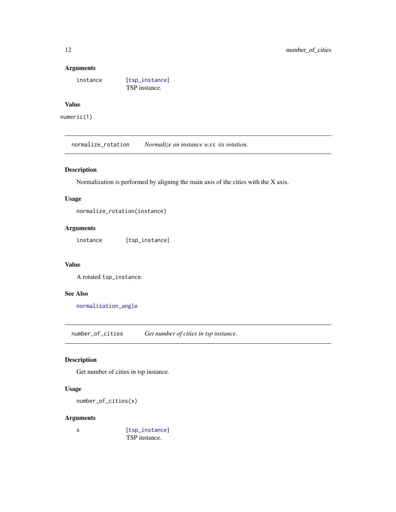#### Arguments

instance [[tsp\\_instance](#page-19-1)]

TSP instance.

# Value

numeric(1)

normalize\_rotation *Normalize an instance w.r.t. its rotation.*

# Description

Normalization is performed by aligning the main axis of the cities with the X axis.

# Usage

normalize\_rotation(instance)

# Arguments

instance [tsp\_instance]

#### Value

A rotated tsp\_instance.

#### See Also

[normalization\\_angle](#page-10-1)

number\_of\_cities *Get number of cities in tsp instance.*

# Description

Get number of cities in tsp instance.

#### Usage

```
number_of_cities(x)
```
#### Arguments

x [[tsp\\_instance](#page-19-1)] TSP instance.

<span id="page-11-0"></span>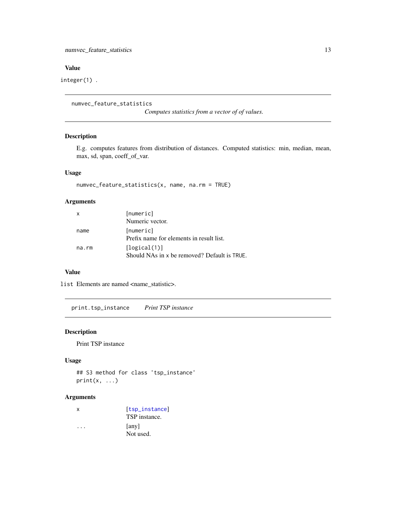<span id="page-12-0"></span>integer(1) .

numvec\_feature\_statistics

*Computes statistics from a vector of of values.*

#### Description

E.g. computes features from distribution of distances. Computed statistics: min, median, mean, max, sd, span, coeff\_of\_var.

# Usage

numvec\_feature\_statistics(x, name, na.rm = TRUE)

# Arguments

| x     | [numeric]<br>Numeric vector.                                 |
|-------|--------------------------------------------------------------|
| name  | [numeric]<br>Prefix name for elements in result list.        |
| na.rm | [logical(1)]<br>Should NAs in x be removed? Default is TRUE. |

### Value

list Elements are named <name\_statistic>.

print.tsp\_instance *Print TSP instance*

# Description

Print TSP instance

## Usage

```
## S3 method for class 'tsp_instance'
print(x, \ldots)
```
# Arguments

| x | [tsp_instance] |
|---|----------------|
|   | TSP instance.  |
|   | [any]          |
|   | Not used.      |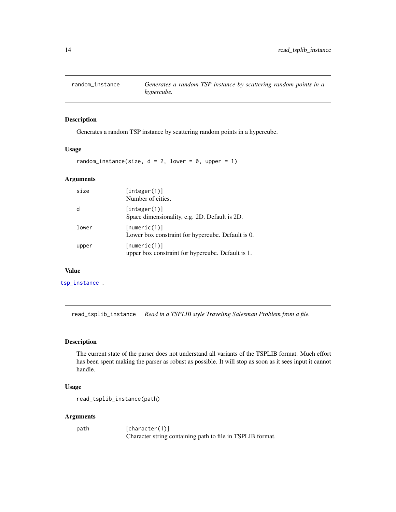<span id="page-13-0"></span>

Generates a random TSP instance by scattering random points in a hypercube.

#### Usage

random\_instance(size,  $d = 2$ , lower = 0, upper = 1)

#### Arguments

| size  | [integer(1)]<br>Number of cities.                                 |
|-------|-------------------------------------------------------------------|
| d     | [integer(1)]<br>Space dimensionality, e.g. 2D. Default is 2D.     |
| lower | [numeric(1)]<br>Lower box constraint for hypercube. Default is 0. |
| upper | [numeric(1)]<br>upper box constraint for hypercube. Default is 1. |

# Value

[tsp\\_instance](#page-19-1) .

read\_tsplib\_instance *Read in a TSPLIB style Traveling Salesman Problem from a file.*

#### Description

The current state of the parser does not understand all variants of the TSPLIB format. Much effort has been spent making the parser as robust as possible. It will stop as soon as it sees input it cannot handle.

#### Usage

```
read_tsplib_instance(path)
```
## Arguments

path [character(1)] Character string containing path to file in TSPLIB format.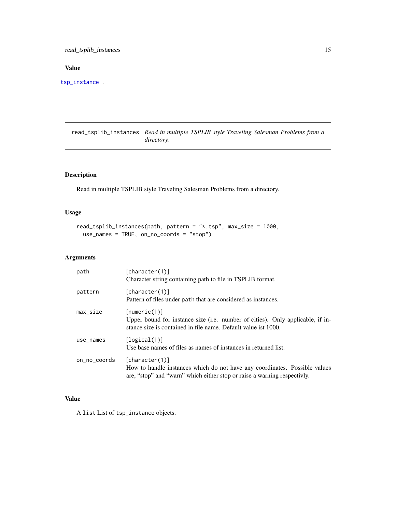<span id="page-14-0"></span>read\_tsplib\_instances 15

# Value

[tsp\\_instance](#page-19-1) .

read\_tsplib\_instances *Read in multiple TSPLIB style Traveling Salesman Problems from a directory.*

# Description

Read in multiple TSPLIB style Traveling Salesman Problems from a directory.

# Usage

```
read_tsplib_instances(path, pattern = "*.tsp", max_size = 1000,
 use_names = TRUE, on_no_coords = "stop")
```
# Arguments

| path         | [character(1)]<br>Character string containing path to file in TSPLIB format.                                                                                             |
|--------------|--------------------------------------------------------------------------------------------------------------------------------------------------------------------------|
| pattern      | [character(1)]<br>Pattern of files under path that are considered as instances.                                                                                          |
| $max_size$   | [numeric(1)]<br>Upper bound for instance size (i.e. number of cities). Only applicable, if in-<br>stance size is contained in file name. Default value ist 1000.         |
| use_names    | [logical(1)]<br>Use base names of files as names of instances in returned list.                                                                                          |
| on_no_coords | [character(1)]<br>How to handle instances which do not have any coordinates. Possible values<br>are, "stop" and "warn" which either stop or raise a warning respectivly. |

# Value

A list List of tsp\_instance objects.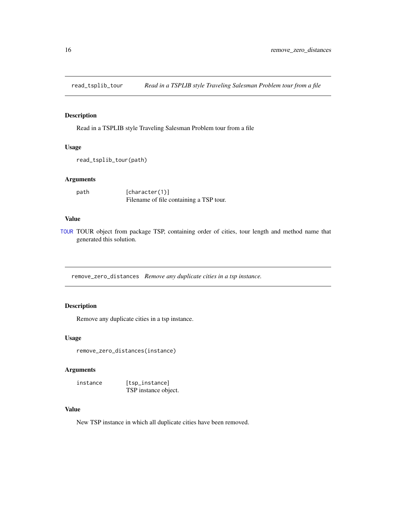<span id="page-15-0"></span>

Read in a TSPLIB style Traveling Salesman Problem tour from a file

# Usage

```
read_tsplib_tour(path)
```
#### Arguments

| path | [character(1)]                          |
|------|-----------------------------------------|
|      | Filename of file containing a TSP tour. |

#### Value

[TOUR](#page-0-0) TOUR object from package TSP, containing order of cities, tour length and method name that generated this solution.

remove\_zero\_distances *Remove any duplicate cities in a tsp instance.*

# Description

Remove any duplicate cities in a tsp instance.

# Usage

remove\_zero\_distances(instance)

# Arguments

instance [tsp\_instance] TSP instance object.

# Value

New TSP instance in which all duplicate cities have been removed.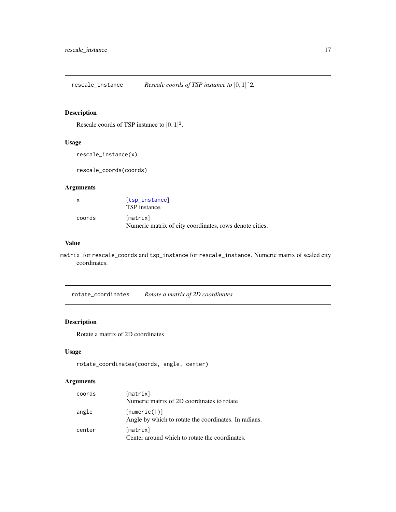<span id="page-16-0"></span>rescale\_instance *Rescale coords of TSP instance to* [0, 1]ˆ2*.*

# Description

Rescale coords of TSP instance to  $[0, 1]^2$ .

# Usage

```
rescale_instance(x)
```
rescale\_coords(coords)

# Arguments

| $\mathbf{x}$ | [tsp_instance]<br>TSP instance.                                     |
|--------------|---------------------------------------------------------------------|
| coords       | [matrix]<br>Numeric matrix of city coordinates, rows denote cities. |

#### Value

matrix for rescale\_coords and tsp\_instance for rescale\_instance. Numeric matrix of scaled city coordinates.

rotate\_coordinates *Rotate a matrix of 2D coordinates*

# Description

Rotate a matrix of 2D coordinates

# Usage

```
rotate_coordinates(coords, angle, center)
```
# Arguments

| coords | [matrix]                                                              |
|--------|-----------------------------------------------------------------------|
|        | Numeric matrix of 2D coordinates to rotate                            |
| angle  | [numeric(1)]<br>Angle by which to rotate the coordinates. In radians. |
| center | [matrix]<br>Center around which to rotate the coordinates.            |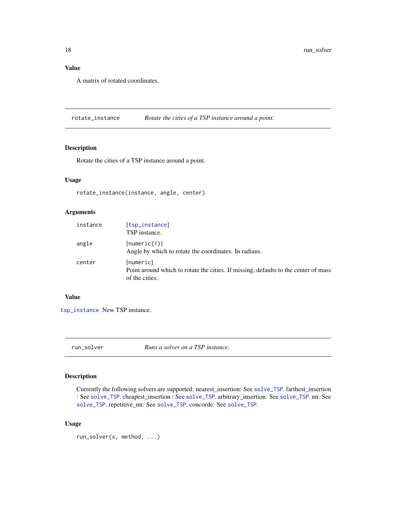<span id="page-17-0"></span>A matrix of rotated coordinates.

rotate\_instance *Rotate the cities of a TSP instance around a point.*

### Description

Rotate the cities of a TSP instance around a point.

# Usage

rotate\_instance(instance, angle, center)

# Arguments

| instance | [tsp_instance]<br>TSP instance.                                                                                    |
|----------|--------------------------------------------------------------------------------------------------------------------|
| angle    | [numeric(1)]<br>Angle by which to rotate the coordinates. In radians.                                              |
| center   | [numeric]<br>Point around which to rotate the cities. If missing, defaults to the center of mass<br>of the cities. |

#### Value

[tsp\\_instance](#page-19-1) New TSP instance.

run\_solver *Runs a solver on a TSP instance.*

# Description

Currently the following solvers are supported: nearest\_insertion: See [solve\\_TSP](#page-0-0). farthest\_insertion : See [solve\\_TSP](#page-0-0). cheapest\_insertion : See [solve\\_TSP](#page-0-0). arbitrary\_insertion: See [solve\\_TSP](#page-0-0). nn: See [solve\\_TSP](#page-0-0). repetitive\_nn: See [solve\\_TSP](#page-0-0). concorde: See [solve\\_TSP](#page-0-0).

# Usage

```
run_solver(x, method, ...)
```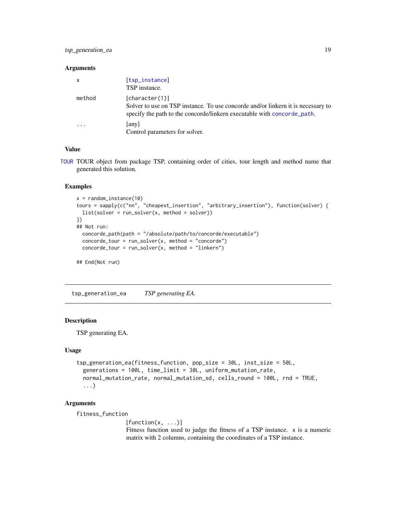#### <span id="page-18-0"></span>Arguments

| $\mathsf{x}$            | [tsp_instance]<br>TSP instance.                                                                                                                                               |
|-------------------------|-------------------------------------------------------------------------------------------------------------------------------------------------------------------------------|
| method                  | [character(1)]<br>Solver to use on TSP instance. To use concorde and/or linkern it is necessary to<br>specify the path to the concorde/linkern executable with concorde path. |
| $\cdot$ $\cdot$ $\cdot$ | [any]<br>Control parameters for solver.                                                                                                                                       |

# Value

[TOUR](#page-0-0) TOUR object from package TSP, containing order of cities, tour length and method name that generated this solution.

#### Examples

```
x = random_instance(10)tours = sapply(c("nn", "cheapest_insertion", "arbitrary_insertion"), function(solver) {
  list(solver = run_solver(x, method = solver))
})
## Not run:
  concorde_path(path = "/absolute/path/to/concorde/executable")
  concorde\_tour = run\_solver(x, method = "concorde")concorde\_tour = run\_solver(x, method = "linkern")## End(Not run)
```
tsp\_generation\_ea *TSP generating EA.*

#### Description

TSP generating EA.

#### Usage

```
tsp_generation_ea(fitness_function, pop_size = 30L, inst_size = 50L,
  generations = 100L, time_limit = 30L, uniform_mutation_rate,
 normal_mutation_rate, normal_mutation_sd, cells_round = 100L, rnd = TRUE,
  ...)
```
#### Arguments

fitness\_function

 $[function(x, \ldots)]$ Fitness function used to judge the fitness of a TSP instance. x is a numeric matrix with 2 columns, containing the coordinates of a TSP instance.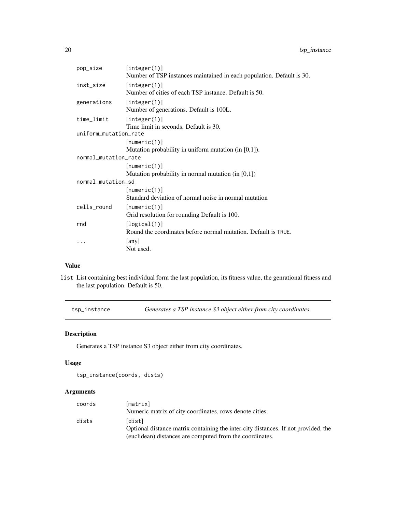<span id="page-19-0"></span>

| pop_size              | [integer(1)]<br>Number of TSP instances maintained in each population. Default is 30. |
|-----------------------|---------------------------------------------------------------------------------------|
| inst_size             | [integer(1)]<br>Number of cities of each TSP instance. Default is 50.                 |
| generations           | [integer(1)]<br>Number of generations. Default is 100L.                               |
| time_limit            | [integer(1)]<br>Time limit in seconds. Default is 30.                                 |
| uniform_mutation_rate |                                                                                       |
|                       | [numeric(1)]                                                                          |
|                       | Mutation probability in uniform mutation (in $[0,1]$ ).                               |
| normal_mutation_rate  |                                                                                       |
|                       | [numeric(1)]                                                                          |
|                       | Mutation probability in normal mutation (in $[0,1]$ )                                 |
| normal_mutation_sd    |                                                                                       |
|                       | [numeric(1)]                                                                          |
|                       | Standard deviation of normal noise in normal mutation                                 |
| cells_round           | [numeric(1)]<br>Grid resolution for rounding Default is 100.                          |
| rnd                   | [logical(1)]<br>Round the coordinates before normal mutation. Default is TRUE.        |
|                       | [any]<br>Not used.                                                                    |

list List containing best individual form the last population, its fitness value, the genrational fitness and the last population. Default is 50.

<span id="page-19-1"></span>tsp\_instance *Generates a TSP instance S3 object either from city coordinates.*

# Description

Generates a TSP instance S3 object either from city coordinates.

# Usage

```
tsp_instance(coords, dists)
```
# Arguments

| coords | [matrix]                                                                           |
|--------|------------------------------------------------------------------------------------|
|        | Numeric matrix of city coordinates, rows denote cities.                            |
| dists  | [dist]                                                                             |
|        | Optional distance matrix containing the inter-city distances. If not provided, the |
|        | (euclidean) distances are computed from the coordinates.                           |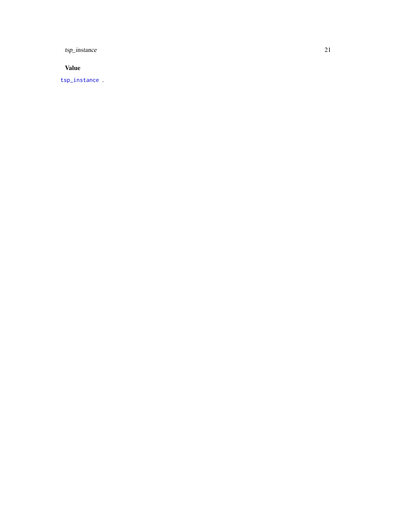<span id="page-20-0"></span>tsp\_instance 21

Value

[tsp\\_instance](#page-19-1) .